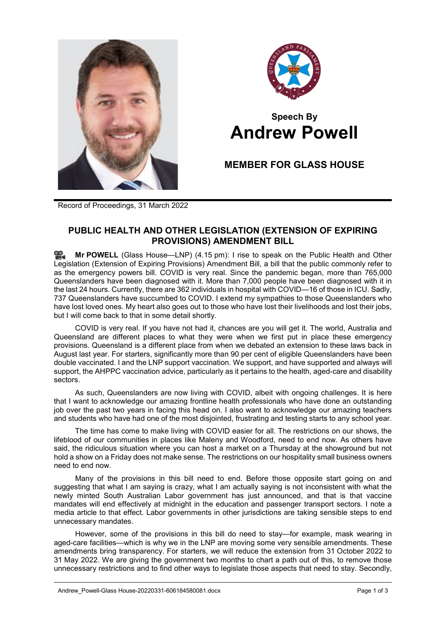



# **Speech By Andrew Powell**

## **MEMBER FOR GLASS HOUSE**

Record of Proceedings, 31 March 2022

### **PUBLIC HEALTH AND OTHER LEGISLATION (EXTENSION OF EXPIRING PROVISIONS) AMENDMENT BILL**

ഇ **Mr [POWELL](http://www.parliament.qld.gov.au/docs/find.aspx?id=0Mba20220331_161555)** (Glass House—LNP) (4.15 pm): I rise to speak on the Public Health and Other Legislation (Extension of Expiring Provisions) Amendment Bill, a bill that the public commonly refer to as the emergency powers bill. COVID is very real. Since the pandemic began, more than 765,000 Queenslanders have been diagnosed with it. More than 7,000 people have been diagnosed with it in the last 24 hours. Currently, there are 362 individuals in hospital with COVID—16 of those in ICU. Sadly, 737 Queenslanders have succumbed to COVID. I extend my sympathies to those Queenslanders who have lost loved ones. My heart also goes out to those who have lost their livelihoods and lost their jobs, but I will come back to that in some detail shortly.

COVID is very real. If you have not had it, chances are you will get it. The world, Australia and Queensland are different places to what they were when we first put in place these emergency provisions. Queensland is a different place from when we debated an extension to these laws back in August last year. For starters, significantly more than 90 per cent of eligible Queenslanders have been double vaccinated. I and the LNP support vaccination. We support, and have supported and always will support, the AHPPC vaccination advice, particularly as it pertains to the health, aged-care and disability sectors.

As such, Queenslanders are now living with COVID, albeit with ongoing challenges. It is here that I want to acknowledge our amazing frontline health professionals who have done an outstanding job over the past two years in facing this head on. I also want to acknowledge our amazing teachers and students who have had one of the most disjointed, frustrating and testing starts to any school year.

The time has come to make living with COVID easier for all. The restrictions on our shows, the lifeblood of our communities in places like Maleny and Woodford, need to end now. As others have said, the ridiculous situation where you can host a market on a Thursday at the showground but not hold a show on a Friday does not make sense. The restrictions on our hospitality small business owners need to end now.

Many of the provisions in this bill need to end. Before those opposite start going on and suggesting that what I am saying is crazy, what I am actually saying is not inconsistent with what the newly minted South Australian Labor government has just announced, and that is that vaccine mandates will end effectively at midnight in the education and passenger transport sectors. I note a media article to that effect. Labor governments in other jurisdictions are taking sensible steps to end unnecessary mandates.

However, some of the provisions in this bill do need to stay—for example, mask wearing in aged-care facilities—which is why we in the LNP are moving some very sensible amendments. These amendments bring transparency. For starters, we will reduce the extension from 31 October 2022 to 31 May 2022. We are giving the government two months to chart a path out of this, to remove those unnecessary restrictions and to find other ways to legislate those aspects that need to stay. Secondly,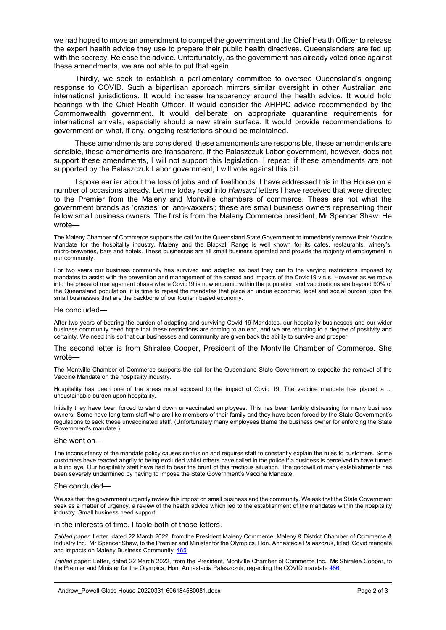we had hoped to move an amendment to compel the government and the Chief Health Officer to release the expert health advice they use to prepare their public health directives. Queenslanders are fed up with the secrecy. Release the advice. Unfortunately, as the government has already voted once against these amendments, we are not able to put that again.

Thirdly, we seek to establish a parliamentary committee to oversee Queensland's ongoing response to COVID. Such a bipartisan approach mirrors similar oversight in other Australian and international jurisdictions. It would increase transparency around the health advice. It would hold hearings with the Chief Health Officer. It would consider the AHPPC advice recommended by the Commonwealth government. It would deliberate on appropriate quarantine requirements for international arrivals, especially should a new strain surface. It would provide recommendations to government on what, if any, ongoing restrictions should be maintained.

These amendments are considered, these amendments are responsible, these amendments are sensible, these amendments are transparent. If the Palaszczuk Labor government, however, does not support these amendments, I will not support this legislation. I repeat: if these amendments are not supported by the Palaszczuk Labor government, I will vote against this bill.

I spoke earlier about the loss of jobs and of livelihoods. I have addressed this in the House on a number of occasions already. Let me today read into *Hansard* letters I have received that were directed to the Premier from the Maleny and Montville chambers of commerce. These are not what the government brands as 'crazies' or 'anti-vaxxers'; these are small business owners representing their fellow small business owners. The first is from the Maleny Commerce president, Mr Spencer Shaw. He wrote—

The Maleny Chamber of Commerce supports the call for the Queensland State Government to immediately remove their Vaccine Mandate for the hospitality industry. Maleny and the Blackall Range is well known for its cafes, restaurants, winery's, micro-breweries, bars and hotels. These businesses are all small business operated and provide the majority of employment in our community.

For two years our business community has survived and adapted as best they can to the varying restrictions imposed by mandates to assist with the prevention and management of the spread and impacts of the Covid19 virus. However as we move into the phase of management phase where Covid19 is now endemic within the population and vaccinations are beyond 90% of the Queensland population, it is time to repeal the mandates that place an undue economic, legal and social burden upon the small businesses that are the backbone of our tourism based economy.

#### He concluded—

After two years of bearing the burden of adapting and surviving Covid 19 Mandates, our hospitality businesses and our wider business community need hope that these restrictions are coming to an end, and we are returning to a degree of positivity and certainty. We need this so that our businesses and community are given back the ability to survive and prosper.

#### The second letter is from Shiralee Cooper, President of the Montville Chamber of Commerce. She wrote—

The Montville Chamber of Commerce supports the call for the Queensland State Government to expedite the removal of the Vaccine Mandate on the hospitality industry.

Hospitality has been one of the areas most exposed to the impact of Covid 19. The vaccine mandate has placed a ... unsustainable burden upon hospitality.

Initially they have been forced to stand down unvaccinated employees. This has been terribly distressing for many business owners. Some have long term staff who are like members of their family and they have been forced by the State Government's regulations to sack these unvaccinated staff. (Unfortunately many employees blame the business owner for enforcing the State Government's mandate.)

#### She went on—

The inconsistency of the mandate policy causes confusion and requires staff to constantly explain the rules to customers. Some customers have reacted angrily to being excluded whilst others have called in the police if a business is perceived to have turned a blind eye. Our hospitality staff have had to bear the brunt of this fractious situation. The goodwill of many establishments has been severely undermined by having to impose the State Government's Vaccine Mandate.

#### She concluded—

We ask that the government urgently review this impost on small business and the community. We ask that the State Government seek as a matter of urgency, a review of the health advice which led to the establishment of the mandates within the hospitality industry. Small business need support!

#### In the interests of time, I table both of those letters.

*Tabled paper*: Letter, dated 22 March 2022, from the President Maleny Commerce, Maleny & District Chamber of Commerce & Industry Inc., Mr Spencer Shaw, to the Premier and Minister for the Olympics, Hon. Annastacia Palaszczuk, titled 'Covid mandate and impacts on Maleny Business Community[' 485.](http://www.parliament.qld.gov.au/docs/find.aspx?id=5722T485)

*Tabled* paper: Letter, dated 22 March 2022, from the President, Montville Chamber of Commerce Inc., Ms Shiralee Cooper, to the Premier and Minister for the Olympics, Hon. Annastacia Palaszczuk, regarding the COVID mandate [486.](http://www.parliament.qld.gov.au/docs/find.aspx?id=5722T486)